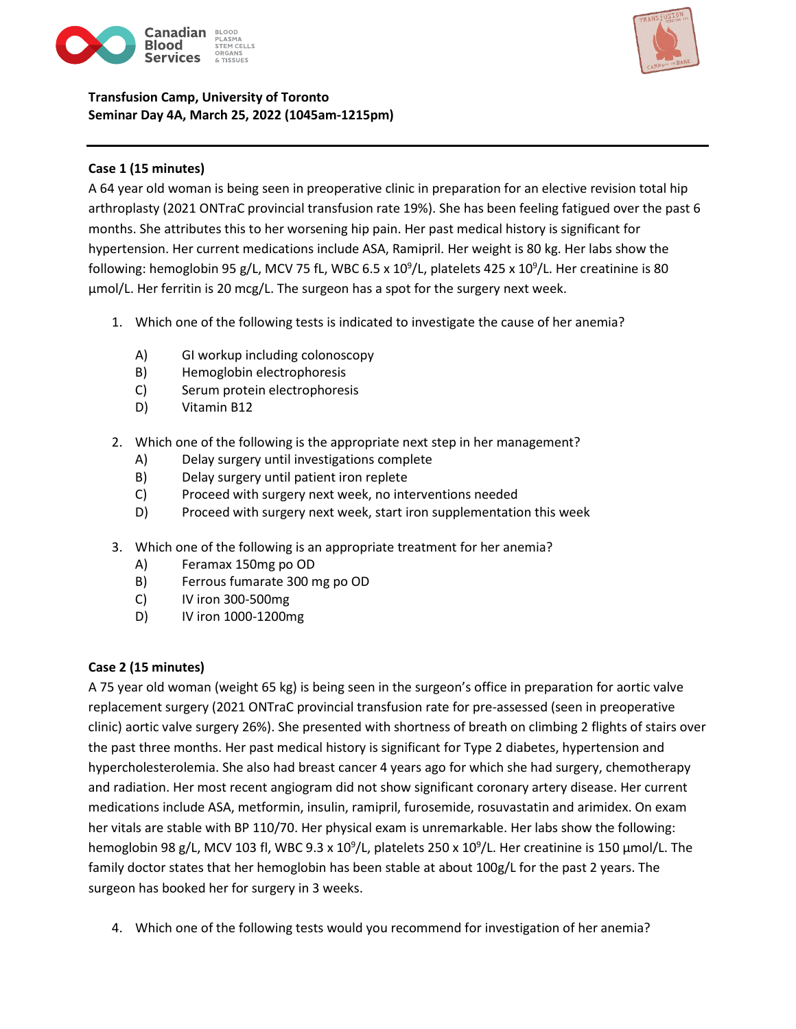

# **Transfusion Camp, University of Toronto Seminar Day 4A, March 25, 2022 (1045am-1215pm)**



## **Case 1 (15 minutes)**

A 64 year old woman is being seen in preoperative clinic in preparation for an elective revision total hip arthroplasty (2021 ONTraC provincial transfusion rate 19%). She has been feeling fatigued over the past 6 months. She attributes this to her worsening hip pain. Her past medical history is significant for hypertension. Her current medications include ASA, Ramipril. Her weight is 80 kg. Her labs show the following: hemoglobin 95 g/L, MCV 75 fL, WBC 6.5 x 10<sup>9</sup>/L, platelets 425 x 10<sup>9</sup>/L. Her creatinine is 80 µmol/L. Her ferritin is 20 mcg/L. The surgeon has a spot for the surgery next week.

- 1. Which one of the following tests is indicated to investigate the cause of her anemia?
	- A) GI workup including colonoscopy
	- B) Hemoglobin electrophoresis
	- C) Serum protein electrophoresis
	- D) Vitamin B12
- 2. Which one of the following is the appropriate next step in her management?
	- A) Delay surgery until investigations complete
	- B) Delay surgery until patient iron replete
	- C) Proceed with surgery next week, no interventions needed
	- D) Proceed with surgery next week, start iron supplementation this week
- 3. Which one of the following is an appropriate treatment for her anemia?
	- A) Feramax 150mg po OD
	- B) Ferrous fumarate 300 mg po OD
	- C) IV iron 300-500mg
	- D) IV iron 1000-1200mg

#### **Case 2 (15 minutes)**

A 75 year old woman (weight 65 kg) is being seen in the surgeon's office in preparation for aortic valve replacement surgery (2021 ONTraC provincial transfusion rate for pre-assessed (seen in preoperative clinic) aortic valve surgery 26%). She presented with shortness of breath on climbing 2 flights of stairs over the past three months. Her past medical history is significant for Type 2 diabetes, hypertension and hypercholesterolemia. She also had breast cancer 4 years ago for which she had surgery, chemotherapy and radiation. Her most recent angiogram did not show significant coronary artery disease. Her current medications include ASA, metformin, insulin, ramipril, furosemide, rosuvastatin and arimidex. On exam her vitals are stable with BP 110/70. Her physical exam is unremarkable. Her labs show the following: hemoglobin 98 g/L, MCV 103 fl, WBC 9.3 x 10<sup>9</sup>/L, platelets 250 x 10<sup>9</sup>/L. Her creatinine is 150 μmol/L. The family doctor states that her hemoglobin has been stable at about 100g/L for the past 2 years. The surgeon has booked her for surgery in 3 weeks.

4. Which one of the following tests would you recommend for investigation of her anemia?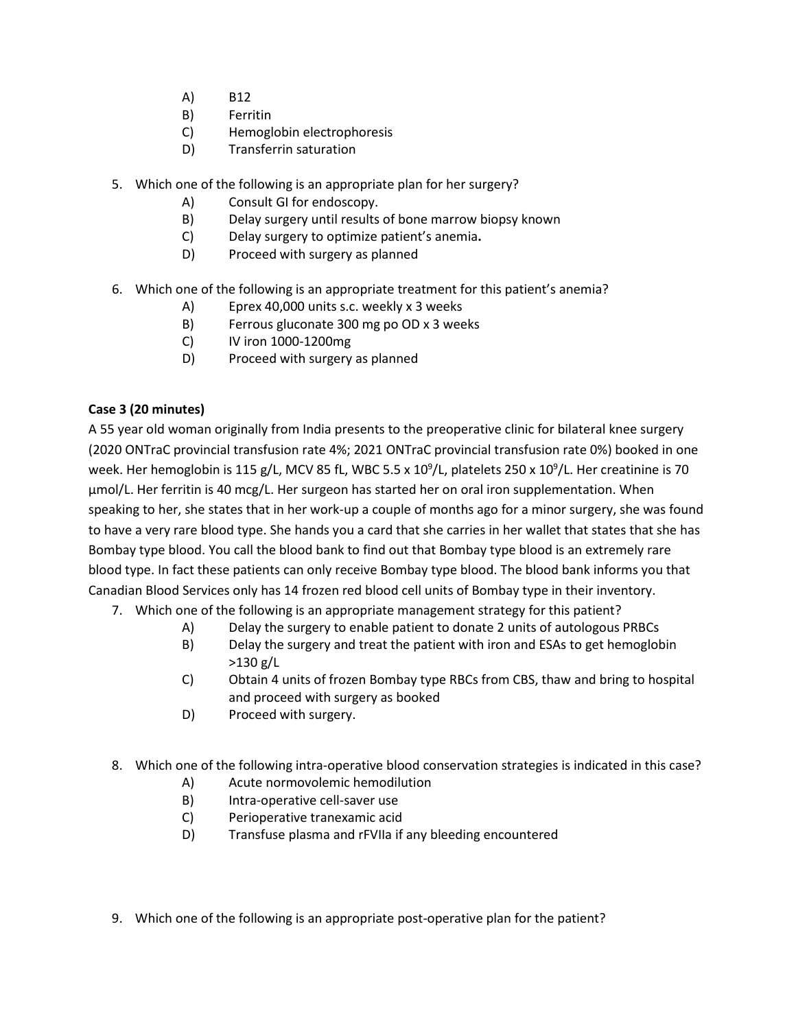- A) B12
- B) Ferritin
- C) Hemoglobin electrophoresis
- D) Transferrin saturation
- 5. Which one of the following is an appropriate plan for her surgery?
	- A) Consult GI for endoscopy.
	- B) Delay surgery until results of bone marrow biopsy known
	- C) Delay surgery to optimize patient's anemia**.**
	- D) Proceed with surgery as planned
- 6. Which one of the following is an appropriate treatment for this patient's anemia?
	- A) Eprex 40,000 units s.c. weekly x 3 weeks
	- B) Ferrous gluconate 300 mg po OD x 3 weeks
	- C) IV iron 1000-1200mg
	- D) Proceed with surgery as planned

### **Case 3 (20 minutes)**

A 55 year old woman originally from India presents to the preoperative clinic for bilateral knee surgery (2020 ONTraC provincial transfusion rate 4%; 2021 ONTraC provincial transfusion rate 0%) booked in one week. Her hemoglobin is 115 g/L, MCV 85 fL, WBC 5.5 x 10<sup>9</sup>/L, platelets 250 x 10<sup>9</sup>/L. Her creatinine is 70 µmol/L. Her ferritin is 40 mcg/L. Her surgeon has started her on oral iron supplementation. When speaking to her, she states that in her work-up a couple of months ago for a minor surgery, she was found to have a very rare blood type. She hands you a card that she carries in her wallet that states that she has Bombay type blood. You call the blood bank to find out that Bombay type blood is an extremely rare blood type. In fact these patients can only receive Bombay type blood. The blood bank informs you that Canadian Blood Services only has 14 frozen red blood cell units of Bombay type in their inventory.

- 7. Which one of the following is an appropriate management strategy for this patient?
	- A) Delay the surgery to enable patient to donate 2 units of autologous PRBCs
	- B) Delay the surgery and treat the patient with iron and ESAs to get hemoglobin >130 g/L
	- C) Obtain 4 units of frozen Bombay type RBCs from CBS, thaw and bring to hospital and proceed with surgery as booked
	- D) Proceed with surgery.
- 8. Which one of the following intra-operative blood conservation strategies is indicated in this case?
	- A) Acute normovolemic hemodilution
	- B) Intra-operative cell-saver use
	- C) Perioperative tranexamic acid
	- D) Transfuse plasma and rFVIIa if any bleeding encountered
- 9. Which one of the following is an appropriate post-operative plan for the patient?